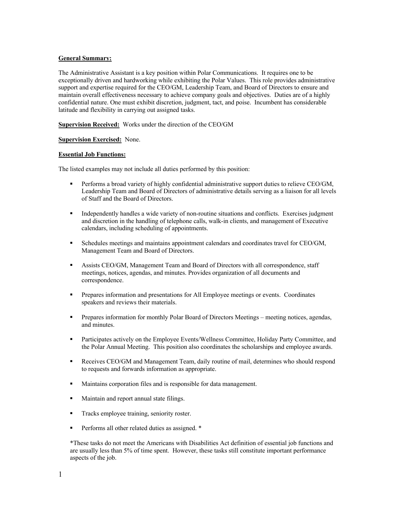# **General Summary:**

The Administrative Assistant is a key position within Polar Communications. It requires one to be exceptionally driven and hardworking while exhibiting the Polar Values. This role provides administrative support and expertise required for the CEO/GM, Leadership Team, and Board of Directors to ensure and maintain overall effectiveness necessary to achieve company goals and objectives. Duties are of a highly confidential nature. One must exhibit discretion, judgment, tact, and poise. Incumbent has considerable latitude and flexibility in carrying out assigned tasks.

**Supervision Received:** Works under the direction of the CEO/GM

**Supervision Exercised:** None.

### **Essential Job Functions:**

The listed examples may not include all duties performed by this position:

- **•** Performs a broad variety of highly confidential administrative support duties to relieve CEO/GM, Leadership Team and Board of Directors of administrative details serving as a liaison for all levels of Staff and the Board of Directors.
- Independently handles a wide variety of non-routine situations and conflicts. Exercises judgment and discretion in the handling of telephone calls, walk-in clients, and management of Executive calendars, including scheduling of appointments.
- Schedules meetings and maintains appointment calendars and coordinates travel for CEO/GM, Management Team and Board of Directors.
- Assists CEO/GM, Management Team and Board of Directors with all correspondence, staff meetings, notices, agendas, and minutes. Provides organization of all documents and correspondence.
- Prepares information and presentations for All Employee meetings or events. Coordinates speakers and reviews their materials.
- **•** Prepares information for monthly Polar Board of Directors Meetings meeting notices, agendas, and minutes.
- **•** Participates actively on the Employee Events/Wellness Committee, Holiday Party Committee, and the Polar Annual Meeting. This position also coordinates the scholarships and employee awards.
- Receives CEO/GM and Management Team, daily routine of mail, determines who should respond to requests and forwards information as appropriate.
- Maintains corporation files and is responsible for data management.
- Maintain and report annual state filings.
- **•** Tracks employee training, seniority roster.
- Performs all other related duties as assigned. <sup>\*</sup>

\*These tasks do not meet the Americans with Disabilities Act definition of essential job functions and are usually less than 5% of time spent. However, these tasks still constitute important performance aspects of the job.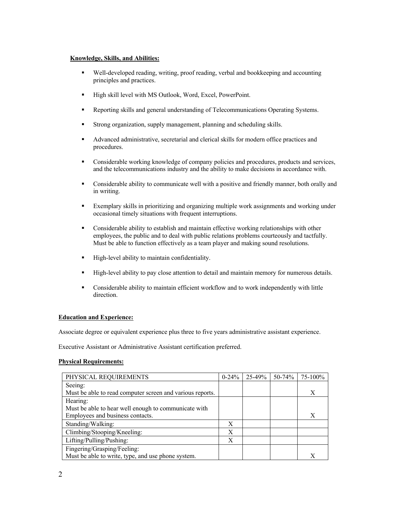# **Knowledge, Skills, and Abilities:**

- § Well-developed reading, writing, proof reading, verbal and bookkeeping and accounting principles and practices.
- High skill level with MS Outlook, Word, Excel, PowerPoint.
- Reporting skills and general understanding of Telecommunications Operating Systems.
- Strong organization, supply management, planning and scheduling skills.
- § Advanced administrative, secretarial and clerical skills for modern office practices and procedures.
- Considerable working knowledge of company policies and procedures, products and services, and the telecommunications industry and the ability to make decisions in accordance with.
- Considerable ability to communicate well with a positive and friendly manner, both orally and in writing.
- Exemplary skills in prioritizing and organizing multiple work assignments and working under occasional timely situations with frequent interruptions.
- § Considerable ability to establish and maintain effective working relationships with other employees, the public and to deal with public relations problems courteously and tactfully. Must be able to function effectively as a team player and making sound resolutions.
- High-level ability to maintain confidentiality.
- **•** High-level ability to pay close attention to detail and maintain memory for numerous details.
- § Considerable ability to maintain efficient workflow and to work independently with little direction.

# **Education and Experience:**

Associate degree or equivalent experience plus three to five years administrative assistant experience.

Executive Assistant or Administrative Assistant certification preferred.

# **Physical Requirements:**

| PHYSICAL REQUIREMENTS                                     | $0 - 24\%$ | 25-49% | 50-74% | 75-100% |
|-----------------------------------------------------------|------------|--------|--------|---------|
| Seeing:                                                   |            |        |        |         |
| Must be able to read computer screen and various reports. |            |        |        | X       |
| Hearing:                                                  |            |        |        |         |
| Must be able to hear well enough to communicate with      |            |        |        |         |
| Employees and business contacts.                          |            |        |        | Х       |
| Standing/Walking:                                         | X          |        |        |         |
| Climbing/Stooping/Kneeling:                               | X          |        |        |         |
| Lifting/Pulling/Pushing:                                  | X          |        |        |         |
| Fingering/Grasping/Feeling:                               |            |        |        |         |
| Must be able to write, type, and use phone system.        |            |        |        |         |